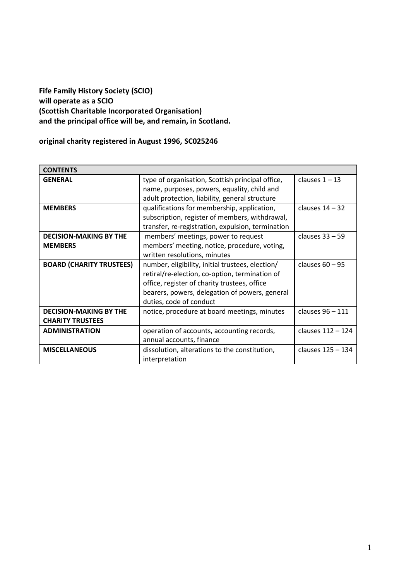# **Fife Family History Society (SCIO) will operate as a SCIO (Scottish Charitable Incorporated Organisation) and the principal office will be, and remain, in Scotland.**

# **original charity registered in August 1996, SC025246**

| <b>CONTENTS</b>                 |                                                   |                   |
|---------------------------------|---------------------------------------------------|-------------------|
| <b>GENERAL</b>                  | type of organisation, Scottish principal office,  | clauses $1 - 13$  |
|                                 | name, purposes, powers, equality, child and       |                   |
|                                 | adult protection, liability, general structure    |                   |
| <b>MEMBERS</b>                  | qualifications for membership, application,       | clauses $14 - 32$ |
|                                 | subscription, register of members, withdrawal,    |                   |
|                                 | transfer, re-registration, expulsion, termination |                   |
| <b>DECISION-MAKING BY THE</b>   | members' meetings, power to request               | clauses $33 - 59$ |
| <b>MEMBERS</b>                  | members' meeting, notice, procedure, voting,      |                   |
|                                 | written resolutions, minutes                      |                   |
| <b>BOARD (CHARITY TRUSTEES)</b> | number, eligibility, initial trustees, election/  | clauses $60 - 95$ |
|                                 | retiral/re-election, co-option, termination of    |                   |
|                                 | office, register of charity trustees, office      |                   |
|                                 | bearers, powers, delegation of powers, general    |                   |
|                                 | duties, code of conduct                           |                   |
| <b>DECISION-MAKING BY THE</b>   | notice, procedure at board meetings, minutes      | clauses 96 - 111  |
| <b>CHARITY TRUSTEES</b>         |                                                   |                   |
| <b>ADMINISTRATION</b>           | operation of accounts, accounting records,        | clauses 112 - 124 |
|                                 | annual accounts, finance                          |                   |
| <b>MISCELLANEOUS</b>            | dissolution, alterations to the constitution,     | clauses 125 - 134 |
|                                 | interpretation                                    |                   |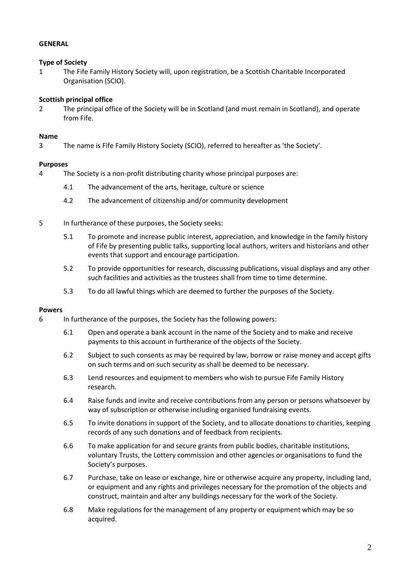# **GENERAL**

# **Type of Society**

<span id="page-1-0"></span>1 The Fife Family History Society will, upon registration, be a Scottish Charitable Incorporated Organisation (SCIO).

# **Scottish principal office**

2 The principal office of the Society will be in Scotland (and must remain in Scotland), and operate from Fife.

# **Name**

3 The name is Fife Family History Society (SCIO), referred to hereafter as 'the Society'.

# **Purposes**

- 4 The Society is a non-profit distributing charity whose principal purposes are:
	- 4.1 The advancement of the arts, heritage, culture or science
	- 4.2 The advancement of citizenship and/or community development
- 5 In furtherance of these purposes, the Society seeks:
	- 5.1 To promote and increase public interest, appreciation, and knowledge in the family history of Fife by presenting public talks, supporting local authors, writers and historians and other events that support and encourage participation.
	- 5.2 To provide opportunities for research, discussing publications, visual displays and any other such facilities and activities as the trustees shall from time to time determine.
	- 5.3 To do all lawful things which are deemed to further the purposes of the Society.

#### **Powers**

- 6 In furtherance of the purposes, the Society has the following powers:
	- 6.1 Open and operate a bank account in the name of the Society and to make and receive payments to this account in furtherance of the objects of the Society.
	- 6.2 Subject to such consents as may be required by law, borrow or raise money and accept gifts on such terms and on such security as shall be deemed to be necessary.
	- 6.3 Lend resources and equipment to members who wish to pursue Fife Family History research.
	- 6.4 Raise funds and invite and receive contributions from any person or persons whatsoever by way of subscription or otherwise including organised fundraising events.
	- 6.5 To invite donations in support of the Society, and to allocate donations to charities, keeping records of any such donations and of feedback from recipients.
	- 6.6 To make application for and secure grants from public bodies, charitable institutions, voluntary Trusts, the Lottery commission and other agencies or organisations to fund the Society's purposes.
	- 6.7 Purchase, take on lease or exchange, hire or otherwise acquire any property, including land, or equipment and any rights and privileges necessary for the promotion of the objects and construct, maintain and alter any buildings necessary for the work of the Society.
	- 6.8 Make regulations for the management of any property or equipment which may be so acquired.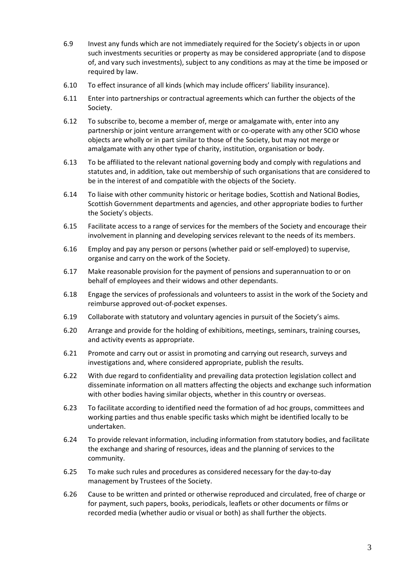- 6.9 Invest any funds which are not immediately required for the Society's objects in or upon such investments securities or property as may be considered appropriate (and to dispose of, and vary such investments), subject to any conditions as may at the time be imposed or required by law.
- 6.10 To effect insurance of all kinds (which may include officers' liability insurance).
- 6.11 Enter into partnerships or contractual agreements which can further the objects of the Society.
- 6.12 To subscribe to, become a member of, merge or amalgamate with, enter into any partnership or joint venture arrangement with or co-operate with any other SCIO whose objects are wholly or in part similar to those of the Society, but may not merge or amalgamate with any other type of charity, institution, organisation or body.
- 6.13 To be affiliated to the relevant national governing body and comply with regulations and statutes and, in addition, take out membership of such organisations that are considered to be in the interest of and compatible with the objects of the Society.
- 6.14 To liaise with other community historic or heritage bodies, Scottish and National Bodies, Scottish Government departments and agencies, and other appropriate bodies to further the Society's objects.
- 6.15 Facilitate access to a range of services for the members of the Society and encourage their involvement in planning and developing services relevant to the needs of its members.
- 6.16 Employ and pay any person or persons (whether paid or self-employed) to supervise, organise and carry on the work of the Society.
- 6.17 Make reasonable provision for the payment of pensions and superannuation to or on behalf of employees and their widows and other dependants.
- 6.18 Engage the services of professionals and volunteers to assist in the work of the Society and reimburse approved out-of-pocket expenses.
- 6.19 Collaborate with statutory and voluntary agencies in pursuit of the Society's aims.
- 6.20 Arrange and provide for the holding of exhibitions, meetings, seminars, training courses, and activity events as appropriate.
- 6.21 Promote and carry out or assist in promoting and carrying out research, surveys and investigations and, where considered appropriate, publish the results.
- 6.22 With due regard to confidentiality and prevailing data protection legislation collect and disseminate information on all matters affecting the objects and exchange such information with other bodies having similar objects, whether in this country or overseas.
- 6.23 To facilitate according to identified need the formation of ad hoc groups, committees and working parties and thus enable specific tasks which might be identified locally to be undertaken.
- 6.24 To provide relevant information, including information from statutory bodies, and facilitate the exchange and sharing of resources, ideas and the planning of services to the community.
- 6.25 To make such rules and procedures as considered necessary for the day-to-day management by Trustees of the Society.
- 6.26 Cause to be written and printed or otherwise reproduced and circulated, free of charge or for payment, such papers, books, periodicals, leaflets or other documents or films or recorded media (whether audio or visual or both) as shall further the objects.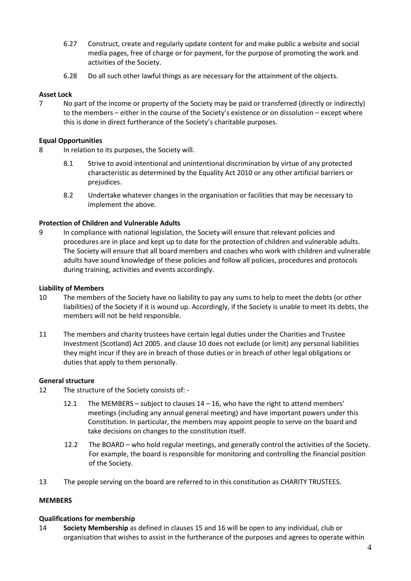- 6.27 Construct, create and regularly update content for and make public a website and social media pages, free of charge or for payment, for the purpose of promoting the work and activities of the Society.
- 6.28 Do all such other lawful things as are necessary for the attainment of the objects.

# **Asset Lock**

7 No part of the income or property of the Society may be paid or transferred (directly or indirectly) to the members – either in the course of the Society's existence or on dissolution – except where this is done in direct furtherance of the Society's charitable purposes.

# **Equal Opportunities**

- 8 In relation to its purposes, the Society will.
	- 8.1 Strive to avoid intentional and unintentional discrimination by virtue of any protected characteristic as determined by the Equality Act 2010 or any other artificial barriers or prejudices.
	- 8.2 Undertake whatever changes in the organisation or facilities that may be necessary to implement the above.

# **Protection of Children and Vulnerable Adults**

9 In compliance with national legislation, the Society will ensure that relevant policies and procedures are in place and kept up to date for the protection of children and vulnerable adults. The Society will ensure that all board members and coaches who work with children and vulnerable adults have sound knowledge of these policies and follow all policies, procedures and protocols during training, activities and events accordingly.

#### **Liability of Members**

- <span id="page-3-1"></span>10 The members of the Society have no liability to pay any sums to help to meet the debts (or other liabilities) of the Society if it is wound up. Accordingly, if the Society is unable to meet its debts, the members will not be held responsible.
- 11 The members and charity trustees have certain legal duties under the Charities and Trustee Investment (Scotland) Act 2005. and claus[e 10](#page-3-1) does not exclude (or limit) any personal liabilities they might incur if they are in breach of those duties or in breach of other legal obligations or duties that apply to them personally.

#### **General structure**

- 12 The structure of the Society consists of:
	- 12.1 The MEMBERS subject to clauses 14 16, who have the right to attend members' meetings (including any annual general meeting) and have important powers under this Constitution. In particular, the members may appoint people to serve on the board and take decisions on changes to the constitution itself.
	- 12.2 The BOARD who hold regular meetings, and generally control the activities of the Society. For example, the board is responsible for monitoring and controlling the financial position of the Society.
- 13 The people serving on the board are referred to in this constitution as CHARITY TRUSTEES.

#### **MEMBERS**

#### **Qualifications for membership**

<span id="page-3-0"></span>14 **Society Membership** as defined in clauses 15 and 16 will be open to any individual, club or organisation that wishes to assist in the furtherance of the purposes and agrees to operate within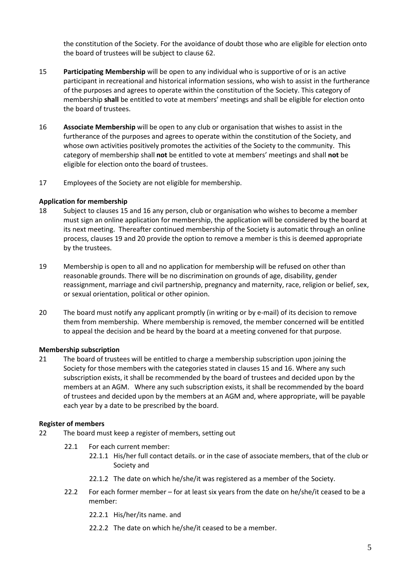the constitution of the Society. For the avoidance of doubt those who are eligible for election onto the board of trustees will be subject to clause 62.

- 15 **Participating Membership** will be open to any individual who is supportive of or is an active participant in recreational and historical information sessions, who wish to assist in the furtherance of the purposes and agrees to operate within the constitution of the Society. This category of membership **shall** be entitled to vote at members' meetings and shall be eligible for election onto the board of trustees.
- 16 **Associate Membership** will be open to any club or organisation that wishes to assist in the furtherance of the purposes and agrees to operate within the constitution of the Society, and whose own activities positively promotes the activities of the Society to the community. This category of membership shall **not** be entitled to vote at members' meetings and shall **not** be eligible for election onto the board of trustees.
- 17 Employees of the Society are not eligible for membership.

# **Application for membership**

- 18 Subject to clauses 15 and 16 any person, club or organisation who wishes to become a member must sign an online application for membership, the application will be considered by the board at its next meeting. Thereafter continued membership of the Society is automatic through an online process, clauses 19 and 20 provide the option to remove a member is this is deemed appropriate by the trustees.
- 19 Membership is open to all and no application for membership will be refused on other than reasonable grounds. There will be no discrimination on grounds of age, disability, gender reassignment, marriage and civil partnership, pregnancy and maternity, race, religion or belief, sex, or sexual orientation, political or other opinion.
- 20 The board must notify any applicant promptly (in writing or by e-mail) of its decision to remove them from membership. Where membership is removed, the member concerned will be entitled to appeal the decision and be heard by the board at a meeting convened for that purpose.

# **Membership subscription**

21 The board of trustees will be entitled to charge a membership subscription upon joining the Society for those members with the categories stated in clauses 15 and 16. Where any such subscription exists, it shall be recommended by the board of trustees and decided upon by the members at an AGM. Where any such subscription exists, it shall be recommended by the board of trustees and decided upon by the members at an AGM and, where appropriate, will be payable each year by a date to be prescribed by the board.

#### **Register of members**

- 22 The board must keep a register of members, setting out
	- 22.1 For each current member:
		- 22.1.1 His/her full contact details. or in the case of associate members, that of the club or Society and
		- 22.1.2 The date on which he/she/it was registered as a member of the Society.
	- 22.2 For each former member for at least six years from the date on he/she/it ceased to be a member:
		- 22.2.1 His/her/its name. and
		- 22.2.2 The date on which he/she/it ceased to be a member.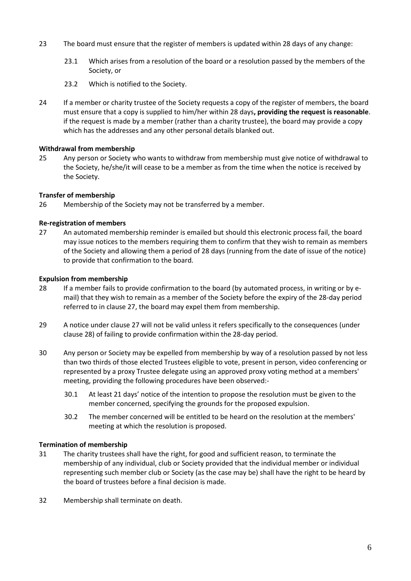- 23 The board must ensure that the register of members is updated within 28 days of any change:
	- 23.1 Which arises from a resolution of the board or a resolution passed by the members of the Society, or
	- 23.2 Which is notified to the Society.
- 24 If a member or charity trustee of the Society requests a copy of the register of members, the board must ensure that a copy is supplied to him/her within 28 days**, providing the request is reasonable**. if the request is made by a member (rather than a charity trustee), the board may provide a copy which has the addresses and any other personal details blanked out.

# **Withdrawal from membership**

25 Any person or Society who wants to withdraw from membership must give notice of withdrawal to the Society, he/she/it will cease to be a member as from the time when the notice is received by the Society.

# **Transfer of membership**

26 Membership of the Society may not be transferred by a member.

# **Re-registration of members**

<span id="page-5-0"></span>27 An automated membership reminder is emailed but should this electronic process fail, the board may issue notices to the members requiring them to confirm that they wish to remain as members of the Society and allowing them a period of 28 days (running from the date of issue of the notice) to provide that confirmation to the board.

#### **Expulsion from membership**

- 28 If a member fails to provide confirmation to the board (by automated process, in writing or by email) that they wish to remain as a member of the Society before the expiry of the 28-day period referred to in clause [27,](#page-5-0) the board may expel them from membership.
- 29 A notice under clause [27](#page-5-0) will not be valid unless it refers specifically to the consequences (under clause 28) of failing to provide confirmation within the 28-day period.
- 30 Any person or Society may be expelled from membership by way of a resolution passed by not less than two thirds of those elected Trustees eligible to vote, present in person, video conferencing or represented by a proxy Trustee delegate using an approved proxy voting method at a members' meeting, providing the following procedures have been observed:-
	- 30.1 At least 21 days' notice of the intention to propose the resolution must be given to the member concerned, specifying the grounds for the proposed expulsion.
	- 30.2 The member concerned will be entitled to be heard on the resolution at the members' meeting at which the resolution is proposed.

#### **Termination of membership**

- 31 The charity trustees shall have the right, for good and sufficient reason, to terminate the membership of any individual, club or Society provided that the individual member or individual representing such member club or Society (as the case may be) shall have the right to be heard by the board of trustees before a final decision is made.
- 32 Membership shall terminate on death.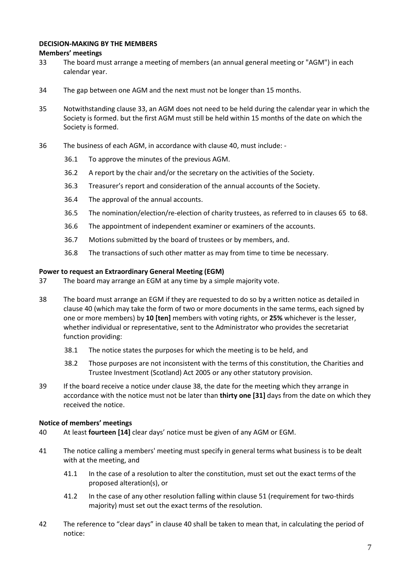# **DECISION-MAKING BY THE MEMBERS**

# **Members' meetings**

- <span id="page-6-0"></span>33 The board must arrange a meeting of members (an annual general meeting or "AGM") in each calendar year.
- 34 The gap between one AGM and the next must not be longer than 15 months.
- 35 Notwithstanding clause [33,](#page-6-0) an AGM does not need to be held during the calendar year in which the Society is formed. but the first AGM must still be held within 15 months of the date on which the Society is formed.
- 36 The business of each AGM, in accordance with clause 40, must include:
	- 36.1 To approve the minutes of the previous AGM.
	- 36.2 A report by the chair and/or the secretary on the activities of the Society.
	- 36.3 Treasurer's report and consideration of the annual accounts of the Society.
	- 36.4 The approval of the annual accounts.
	- 36.5 The nomination/election/re-election of charity trustees, as referred to in clauses [65](#page-9-0) to [68.](#page-9-1)
	- 36.6 The appointment of independent examiner or examiners of the accounts.
	- 36.7 Motions submitted by the board of trustees or by members, and.
	- 36.8 The transactions of such other matter as may from time to time be necessary.

# **Power to request an Extraordinary General Meeting (EGM)**

- 37 The board may arrange an EGM at any time by a simple majority vote.
- 38 The board must arrange an EGM if they are requested to do so by a written notice as detailed in clause 40 (which may take the form of two or more documents in the same terms, each signed by one or more members) by **10 [ten]** members with voting rights, or **25%** whichever is the lesser, whether individual or representative, sent to the Administrator who provides the secretariat function providing:
	- 38.1 The notice states the purposes for which the meeting is to be held, and
	- 38.2 Those purposes are not inconsistent with the terms of this constitution, the Charities and Trustee Investment (Scotland) Act 2005 or any other statutory provision.
- 39 If the board receive a notice under clause 38, the date for the meeting which they arrange in accordance with the notice must not be later than **thirty one [31]** days from the date on which they received the notice.

# **Notice of members' meetings**

- <span id="page-6-1"></span>40 At least **fourteen [14]** clear days' notice must be given of any AGM or EGM.
- 41 The notice calling a members' meeting must specify in general terms what business is to be dealt with at the meeting, and
	- 41.1 In the case of a resolution to alter the constitution, must set out the exact terms of the proposed alteration(s), or
	- 41.2 In the case of any other resolution falling within clause [51](#page-8-0) (requirement for two-thirds majority) must set out the exact terms of the resolution.
- 42 The reference to "clear days" in clause [40](#page-6-1) shall be taken to mean that, in calculating the period of notice: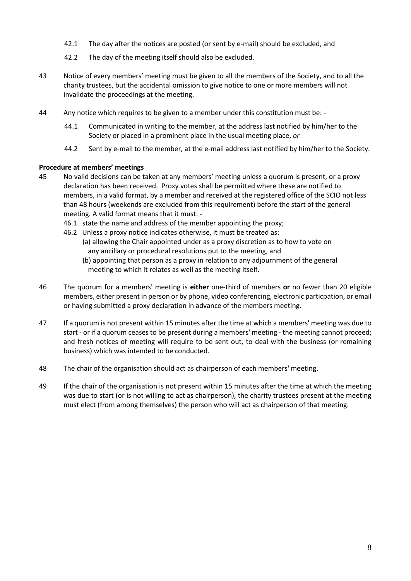- 42.1 The day after the notices are posted (or sent by e-mail) should be excluded, and
- 42.2 The day of the meeting itself should also be excluded.
- 43 Notice of every members' meeting must be given to all the members of the Society, and to all the charity trustees, but the accidental omission to give notice to one or more members will not invalidate the proceedings at the meeting.
- 44 Any notice which requires to be given to a member under this constitution must be:
	- 44.1 Communicated in writing to the member, at the address last notified by him/her to the Society or placed in a prominent place in the usual meeting place, *or*
	- 44.2 Sent by e-mail to the member, at the e-mail address last notified by him/her to the Society.

#### **Procedure at members' meetings**

- 45 No valid decisions can be taken at any members' meeting unless a quorum is present, or a proxy declaration has been received. Proxy votes shall be permitted where these are notified to members, in a valid format, by a member and received at the registered office of the SCIO not less than 48 hours (weekends are excluded from this requirement) before the start of the general meeting. A valid format means that it must: -
	- 46.1. state the name and address of the member appointing the proxy;
	- 46.2 Unless a proxy notice indicates otherwise, it must be treated as:
		- (a) allowing the Chair appointed under as a proxy discretion as to how to vote on any ancillary or procedural resolutions put to the meeting, and
		- (b) appointing that person as a proxy in relation to any adjournment of the general meeting to which it relates as well as the meeting itself.
- 46 The quorum for a members' meeting is **either** one-third of members **or** no fewer than 20 eligible members, either present in person or by phone, video conferencing, electronic particpation, or email or having submitted a proxy declaration in advance of the members meeting.
- 47 If a quorum is not present within 15 minutes after the time at which a members' meeting was due to start - or if a quorum ceases to be present during a members' meeting - the meeting cannot proceed; and fresh notices of meeting will require to be sent out, to deal with the business (or remaining business) which was intended to be conducted.
- 48 The chair of the organisation should act as chairperson of each members' meeting.
- 49 If the chair of the organisation is not present within 15 minutes after the time at which the meeting was due to start (or is not willing to act as chairperson), the charity trustees present at the meeting must elect (from among themselves) the person who will act as chairperson of that meeting.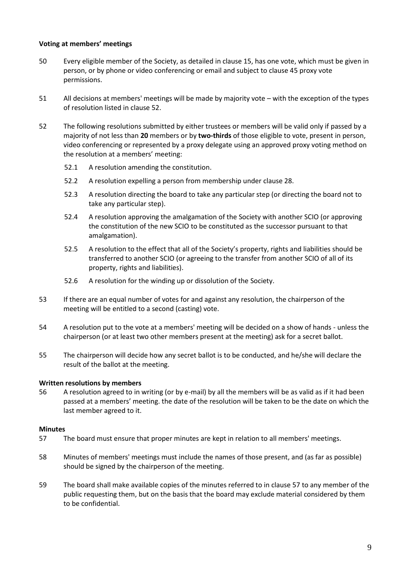# **Voting at members' meetings**

- 50 Every eligible member of the Society, as detailed in clause 15, has one vote, which must be given in person, or by phone or video conferencing or email and subject to clause 45 proxy vote permissions.
- <span id="page-8-0"></span>51 All decisions at members' meetings will be made by majority vote – with the exception of the types of resolution listed in clause 52.
- 52 The following resolutions submitted by either trustees or members will be valid only if passed by a majority of not less than **20** members or by **two-thirds** of those eligible to vote, present in person, video conferencing or represented by a proxy delegate using an approved proxy voting method on the resolution at a members' meeting:
	- 52.1 A resolution amending the constitution.
	- 52.2 A resolution expelling a person from membership under clause 28.
	- 52.3 A resolution directing the board to take any particular step (or directing the board not to take any particular step).
	- 52.4 A resolution approving the amalgamation of the Society with another SCIO (or approving the constitution of the new SCIO to be constituted as the successor pursuant to that amalgamation).
	- 52.5 A resolution to the effect that all of the Society's property, rights and liabilities should be transferred to another SCIO (or agreeing to the transfer from another SCIO of all of its property, rights and liabilities).
	- 52.6 A resolution for the winding up or dissolution of the Society.
- 53 If there are an equal number of votes for and against any resolution, the chairperson of the meeting will be entitled to a second (casting) vote.
- 54 A resolution put to the vote at a members' meeting will be decided on a show of hands unless the chairperson (or at least two other members present at the meeting) ask for a secret ballot.
- 55 The chairperson will decide how any secret ballot is to be conducted, and he/she will declare the result of the ballot at the meeting.

# **Written resolutions by members**

56 A resolution agreed to in writing (or by e-mail) by all the members will be as valid as if it had been passed at a members' meeting. the date of the resolution will be taken to be the date on which the last member agreed to it.

#### **Minutes**

- <span id="page-8-1"></span>57 The board must ensure that proper minutes are kept in relation to all members' meetings.
- 58 Minutes of members' meetings must include the names of those present, and (as far as possible) should be signed by the chairperson of the meeting.
- 59 The board shall make available copies of the minutes referred to in clause [57](#page-8-1) to any member of the public requesting them, but on the basis that the board may exclude material considered by them to be confidential.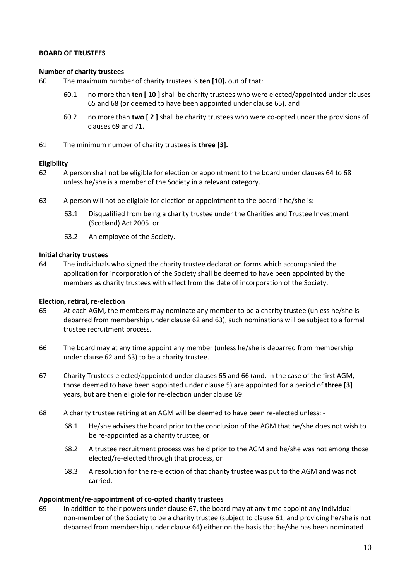#### **BOARD OF TRUSTEES**

#### **Number of charity trustees**

- 60 The maximum number of charity trustees is **ten [10].** out of that:
	- 60.1 no more than **ten [ 10 ]** shall be charity trustees who were elected/appointed under clauses [65](#page-9-0) and 68 (or deemed to have been appointed under clause 65). and
	- 60.2 no more than **two [ 2 ]** shall be charity trustees who were co-opted under the provisions of clauses [69](#page-9-2) and 71.
- 61 The minimum number of charity trustees is **three [3].**

#### **Eligibility**

- 62 A person shall not be eligible for election or appointment to the board under clauses [64](#page-9-3) to [68](#page-9-1) unless he/she is a member of the Society in a relevant category.
- 63 A person will not be eligible for election or appointment to the board if he/she is:
	- 63.1 Disqualified from being a charity trustee under the Charities and Trustee Investment (Scotland) Act 2005. or
	- 63.2 An employee of the Society.

#### **Initial charity trustees**

<span id="page-9-3"></span>64 The individuals who signed the charity trustee declaration forms which accompanied the application for incorporation of the Society shall be deemed to have been appointed by the members as charity trustees with effect from the date of incorporation of the Society.

#### **Election, retiral, re-election**

- <span id="page-9-0"></span>65 At each AGM, the members may nominate any member to be a charity trustee (unless he/she is debarred from membership under clause 62 and 63), such nominations will be subject to a formal trustee recruitment process.
- 66 The board may at any time appoint any member (unless he/she is debarred from membership under clause 62 and 63) to be a charity trustee.
- 67 Charity Trustees elected/appointed under clauses 65 and 66 (and, in the case of the first AGM, those deemed to have been appointed under clause 5) are appointed for a period of **three [3]** years, but are then eligible for re-election under clause 69.
- <span id="page-9-1"></span>68 A charity trustee retiring at an AGM will be deemed to have been re-elected unless: -
	- 68.1 He/she advises the board prior to the conclusion of the AGM that he/she does not wish to be re-appointed as a charity trustee, or
	- 68.2 A trustee recruitment process was held prior to the AGM and he/she was not among those elected/re-elected through that process, or
	- 68.3 A resolution for the re-election of that charity trustee was put to the AGM and was not carried.

#### **Appointment/re-appointment of co-opted charity trustees**

<span id="page-9-2"></span>69 In addition to their powers under clause 67, the board may at any time appoint any individual non-member of the Society to be a charity trustee (subject to clause 61, and providing he/she is not debarred from membership under clause 64) either on the basis that he/she has been nominated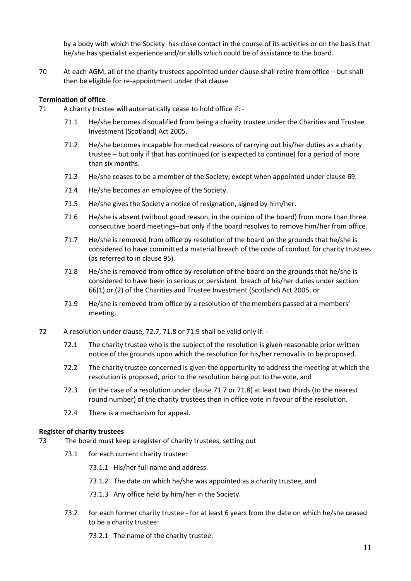by a body with which the Society has close contact in the course of its activities or on the basis that he/she has specialist experience and/or skills which could be of assistance to the board.

70 At each AGM, all of the charity trustees appointed under clause shall retire from office – but shall then be eligible for re-appointment under that clause.

#### **Termination of office**

- 71 A charity trustee will automatically cease to hold office if:
	- 71.1 He/she becomes disqualified from being a charity trustee under the Charities and Trustee Investment (Scotland) Act 2005.
	- 71.2 He/she becomes incapable for medical reasons of carrying out his/her duties as a charity trustee – but only if that has continued (or is expected to continue) for a period of more than six months.
	- 71.3 He/she ceases to be a member of the Society, except when appointed under claus[e 69.](#page-9-2)
	- 71.4 He/she becomes an employee of the Society.
	- 71.5 He/she gives the Society a notice of resignation, signed by him/her.
	- 71.6 He/she is absent (without good reason, in the opinion of the board) from more than three consecutive board meetings–but only if the board resolves to remove him/her from office.
	- 71.7 He/she is removed from office by resolution of the board on the grounds that he/she is considered to have committed a material breach of the code of conduct for charity trustees (as referred to in clause 95).
	- 71.8 He/she is removed from office by resolution of the board on the grounds that he/she is considered to have been in serious or persistent breach of his/her duties under section 66(1) or (2) of the Charities and Trustee Investment (Scotland) Act 2005. or
	- 71.9 He/she is removed from office by a resolution of the members passed at a members' meeting.
- <span id="page-10-2"></span><span id="page-10-1"></span><span id="page-10-0"></span>72 A resolution under clause, 72.7, [71.8](#page-10-0) or [71.9](#page-10-1) shall be valid only if: -
	- 72.1 The charity trustee who is the subject of the resolution is given reasonable prior written notice of the grounds upon which the resolution for his/her removal is to be proposed.
	- 72.2 The charity trustee concerned is given the opportunity to address the meeting at which the resolution is proposed, prior to the resolution being put to the vote, and
	- 72.3 (in the case of a resolution under clause [71.7](#page-10-2) o[r 71.8\)](#page-10-0) at least two thirds (to the nearest round number) of the charity trustees then in office vote in favour of the resolution.
	- 72.4 There is a mechanism for appeal.

#### **Register of charity trustees**

- 73 The board must keep a register of charity trustees, setting out
	- 73.1 for each current charity trustee:
		- 73.1.1 His/her full name and address.
		- 73.1.2 The date on which he/she was appointed as a charity trustee, and
		- 73.1.3 Any office held by him/her in the Society.
	- 73.2 for each former charity trustee for at least 6 years from the date on which he/she ceased to be a charity trustee:
		- 73.2.1 The name of the charity trustee.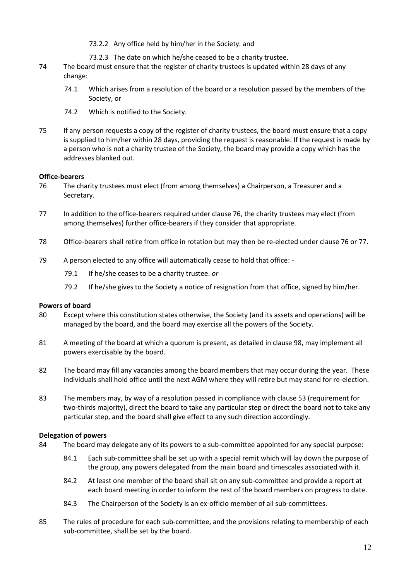- 73.2.2 Any office held by him/her in the Society. and
- 73.2.3 The date on which he/she ceased to be a charity trustee.
- 74 The board must ensure that the register of charity trustees is updated within 28 days of any change:
	- 74.1 Which arises from a resolution of the board or a resolution passed by the members of the Society, or
	- 74.2 Which is notified to the Society.
- 75 If any person requests a copy of the register of charity trustees, the board must ensure that a copy is supplied to him/her within 28 days, providing the request is reasonable. If the request is made by a person who is not a charity trustee of the Society, the board may provide a copy which has the addresses blanked out.

#### **Office-bearers**

- 76 The charity trustees must elect (from among themselves) a Chairperson, a Treasurer and a Secretary.
- 77 In addition to the office-bearers required under clause 76, the charity trustees may elect (from among themselves) further office-bearers if they consider that appropriate.
- 78 Office-bearers shall retire from office in rotation but may then be re-elected under clause 76 or 77.
- 79 A person elected to any office will automatically cease to hold that office:
	- 79.1 If he/she ceases to be a charity trustee. *or*
	- 79.2 If he/she gives to the Society a notice of resignation from that office, signed by him/her.

#### **Powers of board**

- 80 Except where this constitution states otherwise, the Society (and its assets and operations) will be managed by the board, and the board may exercise all the powers of the Society.
- 81 A meeting of the board at which a quorum is present, as detailed in clause 98, may implement all powers exercisable by the board.
- 82 The board may fill any vacancies among the board members that may occur during the year. These individuals shall hold office until the next AGM where they will retire but may stand for re-election.
- 83 The members may, by way of a resolution passed in compliance with clause 53 (requirement for two-thirds majority), direct the board to take any particular step or direct the board not to take any particular step, and the board shall give effect to any such direction accordingly.

#### **Delegation of powers**

- <span id="page-11-0"></span>84 The board may delegate any of its powers to a sub-committee appointed for any special purpose:
	- 84.1 Each sub-committee shall be set up with a special remit which will lay down the purpose of the group, any powers delegated from the main board and timescales associated with it.
	- 84.2 At least one member of the board shall sit on any sub-committee and provide a report at each board meeting in order to inform the rest of the board members on progress to date.
	- 84.3 The Chairperson of the Society is an ex-officio member of all sub-committees.
- 85 The rules of procedure for each sub-committee, and the provisions relating to membership of each sub-committee, shall be set by the board.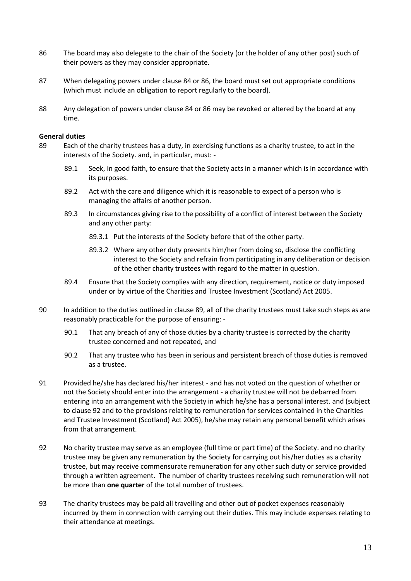- <span id="page-12-0"></span>86 The board may also delegate to the chair of the Society (or the holder of any other post) such of their powers as they may consider appropriate.
- 87 When delegating powers under clause [84](#page-11-0) o[r 86,](#page-12-0) the board must set out appropriate conditions (which must include an obligation to report regularly to the board).
- 88 Any delegation of powers under clause [84](#page-11-0) or [86](#page-12-0) may be revoked or altered by the board at any time.

#### **General duties**

- <span id="page-12-1"></span>89 Each of the charity trustees has a duty, in exercising functions as a charity trustee, to act in the interests of the Society. and, in particular, must: -
	- 89.1 Seek, in good faith, to ensure that the Society acts in a manner which is in accordance with its purposes.
	- 89.2 Act with the care and diligence which it is reasonable to expect of a person who is managing the affairs of another person.
	- 89.3 In circumstances giving rise to the possibility of a conflict of interest between the Society and any other party:
		- 89.3.1 Put the interests of the Society before that of the other party.
		- 89.3.2 Where any other duty prevents him/her from doing so, disclose the conflicting interest to the Society and refrain from participating in any deliberation or decision of the other charity trustees with regard to the matter in question.
	- 89.4 Ensure that the Society complies with any direction, requirement, notice or duty imposed under or by virtue of the Charities and Trustee Investment (Scotland) Act 2005.
- 90 In addition to the duties outlined in clause [89,](#page-12-1) all of the charity trustees must take such steps as are reasonably practicable for the purpose of ensuring: -
	- 90.1 That any breach of any of those duties by a charity trustee is corrected by the charity trustee concerned and not repeated, and
	- 90.2 That any trustee who has been in serious and persistent breach of those duties is removed as a trustee.
- 91 Provided he/she has declared his/her interest and has not voted on the question of whether or not the Society should enter into the arrangement - a charity trustee will not be debarred from entering into an arrangement with the Society in which he/she has a personal interest. and (subject to clause [92](#page-12-2) and to the provisions relating to remuneration for services contained in the Charities and Trustee Investment (Scotland) Act 2005), he/she may retain any personal benefit which arises from that arrangement.
- <span id="page-12-2"></span>92 No charity trustee may serve as an employee (full time or part time) of the Society. and no charity trustee may be given any remuneration by the Society for carrying out his/her duties as a charity trustee, but may receive commensurate remuneration for any other such duty or service provided through a written agreement. The number of charity trustees receiving such remuneration will not be more than **one quarter** of the total number of trustees.
- 93 The charity trustees may be paid all travelling and other out of pocket expenses reasonably incurred by them in connection with carrying out their duties. This may include expenses relating to their attendance at meetings.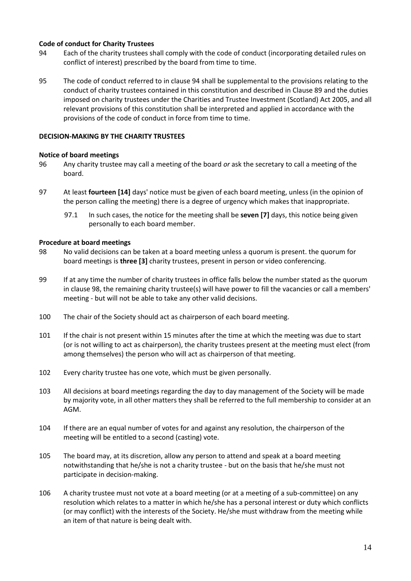# **Code of conduct for Charity Trustees**

- 94 Each of the charity trustees shall comply with the code of conduct (incorporating detailed rules on conflict of interest) prescribed by the board from time to time.
- 95 The code of conduct referred to in clause 94 shall be supplemental to the provisions relating to the conduct of charity trustees contained in this constitution and described in Clause [89](#page-12-1) and the duties imposed on charity trustees under the Charities and Trustee Investment (Scotland) Act 2005, and all relevant provisions of this constitution shall be interpreted and applied in accordance with the provisions of the code of conduct in force from time to time.

# **DECISION-MAKING BY THE CHARITY TRUSTEES**

# **Notice of board meetings**

- 96 Any charity trustee may call a meeting of the board *or* ask the secretary to call a meeting of the board.
- 97 At least **fourteen [14]** days' notice must be given of each board meeting, unless (in the opinion of the person calling the meeting) there is a degree of urgency which makes that inappropriate.
	- 97.1 In such cases, the notice for the meeting shall be **seven [7]** days, this notice being given personally to each board member.

#### **Procedure at board meetings**

- 98 No valid decisions can be taken at a board meeting unless a quorum is present. the quorum for board meetings is **three [3]** charity trustees, present in person or video conferencing.
- 99 If at any time the number of charity trustees in office falls below the number stated as the quorum in clause 98, the remaining charity trustee(s) will have power to fill the vacancies or call a members' meeting - but will not be able to take any other valid decisions.
- 100 The chair of the Society should act as chairperson of each board meeting.
- 101 If the chair is not present within 15 minutes after the time at which the meeting was due to start (or is not willing to act as chairperson), the charity trustees present at the meeting must elect (from among themselves) the person who will act as chairperson of that meeting.
- 102 Every charity trustee has one vote, which must be given personally.
- 103 All decisions at board meetings regarding the day to day management of the Society will be made by majority vote, in all other matters they shall be referred to the full membership to consider at an AGM.
- 104 If there are an equal number of votes for and against any resolution, the chairperson of the meeting will be entitled to a second (casting) vote.
- 105 The board may, at its discretion, allow any person to attend and speak at a board meeting notwithstanding that he/she is not a charity trustee - but on the basis that he/she must not participate in decision-making.
- <span id="page-13-0"></span>106 A charity trustee must not vote at a board meeting (or at a meeting of a sub-committee) on any resolution which relates to a matter in which he/she has a personal interest or duty which conflicts (or may conflict) with the interests of the Society. He/she must withdraw from the meeting while an item of that nature is being dealt with.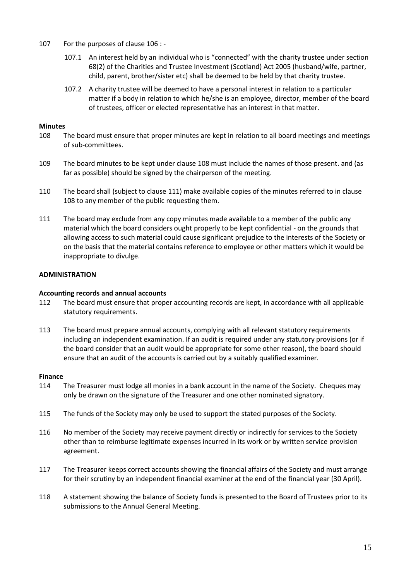- 107 For the purposes of clause [106](#page-13-0) :
	- 107.1 An interest held by an individual who is "connected" with the charity trustee under section 68(2) of the Charities and Trustee Investment (Scotland) Act 2005 (husband/wife, partner, child, parent, brother/sister etc) shall be deemed to be held by that charity trustee.
	- 107.2 A charity trustee will be deemed to have a personal interest in relation to a particular matter if a body in relation to which he/she is an employee, director, member of the board of trustees, officer or elected representative has an interest in that matter.

# **Minutes**

- <span id="page-14-0"></span>108 The board must ensure that proper minutes are kept in relation to all board meetings and meetings of sub-committees.
- 109 The board minutes to be kept under clause [108](#page-14-0) must include the names of those present. and (as far as possible) should be signed by the chairperson of the meeting.
- 110 The board shall (subject to claus[e 111\)](#page-14-1) make available copies of the minutes referred to in clause [108](#page-14-0) to any member of the public requesting them.
- <span id="page-14-1"></span>111 The board may exclude from any copy minutes made available to a member of the public any material which the board considers ought properly to be kept confidential - on the grounds that allowing access to such material could cause significant prejudice to the interests of the Society or on the basis that the material contains reference to employee or other matters which it would be inappropriate to divulge.

# **ADMINISTRATION**

# **Accounting records and annual accounts**

- 112 The board must ensure that proper accounting records are kept, in accordance with all applicable statutory requirements.
- 113 The board must prepare annual accounts, complying with all relevant statutory requirements including an independent examination. If an audit is required under any statutory provisions (or if the board consider that an audit would be appropriate for some other reason), the board should ensure that an audit of the accounts is carried out by a suitably qualified examiner.

#### **Finance**

- 114 The Treasurer must lodge all monies in a bank account in the name of the Society. Cheques may only be drawn on the signature of the Treasurer and one other nominated signatory.
- 115 The funds of the Society may only be used to support the stated purposes of the Society.
- 116 No member of the Society may receive payment directly or indirectly for services to the Society other than to reimburse legitimate expenses incurred in its work or by written service provision agreement.
- 117 The Treasurer keeps correct accounts showing the financial affairs of the Society and must arrange for their scrutiny by an independent financial examiner at the end of the financial year (30 April).
- 118 A statement showing the balance of Society funds is presented to the Board of Trustees prior to its submissions to the Annual General Meeting.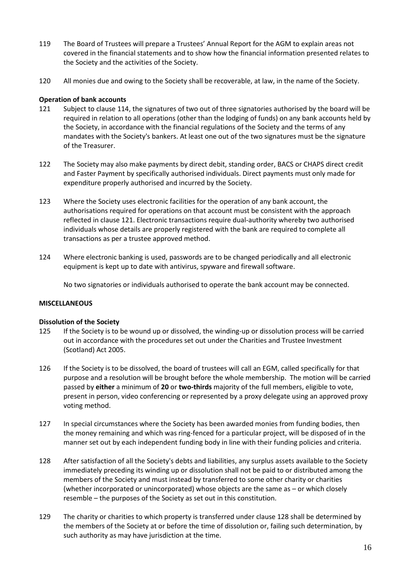- 119 The Board of Trustees will prepare a Trustees' Annual Report for the AGM to explain areas not covered in the financial statements and to show how the financial information presented relates to the Society and the activities of the Society.
- 120 All monies due and owing to the Society shall be recoverable, at law, in the name of the Society.

#### **Operation of bank accounts**

- <span id="page-15-0"></span>121 Subject to clause 114, the signatures of two out of three signatories authorised by the board will be required in relation to all operations (other than the lodging of funds) on any bank accounts held by the Society, in accordance with the financial regulations of the Society and the terms of any mandates with the Society's bankers. At least one out of the two signatures must be the signature of the Treasurer.
- 122 The Society may also make payments by direct debit, standing order, BACS or CHAPS direct credit and Faster Payment by specifically authorised individuals. Direct payments must only made for expenditure properly authorised and incurred by the Society.
- 123 Where the Society uses electronic facilities for the operation of any bank account, the authorisations required for operations on that account must be consistent with the approach reflected in clause [121.](#page-15-0) Electronic transactions require dual-authority whereby two authorised individuals whose details are properly registered with the bank are required to complete all transactions as per a trustee approved method.
- 124 Where electronic banking is used, passwords are to be changed periodically and all electronic equipment is kept up to date with antivirus, spyware and firewall software.

No two signatories or individuals authorised to operate the bank account may be connected.

#### **MISCELLANEOUS**

#### **Dissolution of the Society**

- 125 If the Society is to be wound up or dissolved, the winding-up or dissolution process will be carried out in accordance with the procedures set out under the Charities and Trustee Investment (Scotland) Act 2005.
- 126 If the Society is to be dissolved, the board of trustees will call an EGM, called specifically for that purpose and a resolution will be brought before the whole membership. The motion will be carried passed by **either** a minimum of **20** or **two-thirds** majority of the full members, eligible to vote, present in person, video conferencing or represented by a proxy delegate using an approved proxy voting method.
- 127 In special circumstances where the Society has been awarded monies from funding bodies, then the money remaining and which was ring-fenced for a particular project, will be disposed of in the manner set out by each independent funding body in line with their funding policies and criteria.
- <span id="page-15-1"></span>128 After satisfaction of all the Society's debts and liabilities, any surplus assets available to the Society immediately preceding its winding up or dissolution shall not be paid to or distributed among the members of the Society and must instead by transferred to some other charity or charities (whether incorporated or unincorporated) whose objects are the same as – or which closely resemble – the purposes of the Society as set out in this constitution.
- <span id="page-15-2"></span>129 The charity or charities to which property is transferred under clause [128](#page-15-1) shall be determined by the members of the Society at or before the time of dissolution or, failing such determination, by such authority as may have jurisdiction at the time.